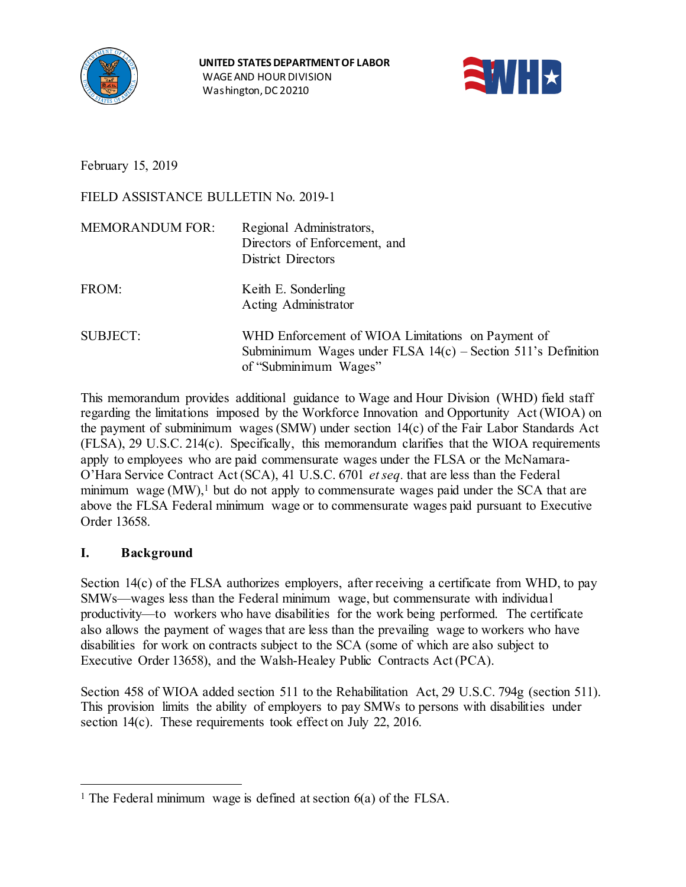



February 15, 2019

FIELD ASSISTANCE BULLETIN No. 2019-1

| <b>MEMORANDUM FOR:</b> | Regional Administrators,<br>Directors of Enforcement, and<br>District Directors                                                              |
|------------------------|----------------------------------------------------------------------------------------------------------------------------------------------|
| FROM:                  | Keith E. Sonderling<br>Acting Administrator                                                                                                  |
| <b>SUBJECT:</b>        | WHD Enforcement of WIOA Limitations on Payment of<br>Subminimum Wages under FLSA $14(c)$ – Section 511's Definition<br>of "Subminimum Wages" |

This memorandum provides additional guidance to Wage and Hour Division (WHD) field staff regarding the limitations imposed by the Workforce Innovation and Opportunity Act (WIOA) on the payment of subminimum wages (SMW) under section 14(c) of the Fair Labor Standards Act (FLSA), 29 U.S.C. 214(c). Specifically, this memorandum clarifies that the WIOA requirements apply to employees who are paid commensurate wages under the FLSA or the McNamara-O'Hara Service Contract Act (SCA), 41 U.S.C. 6701 *et seq.* that are less than the Federal minimum wage  $(MW)$ ,<sup>1</sup> but do not apply to commensurate wages paid under the SCA that are above the FLSA Federal minimum wage or to commensurate wages paid pursuant to Executive Order 13658.

# **I. Background**

Section 14(c) of the FLSA authorizes employers, after receiving a certificate from WHD, to pay SMWs—wages less than the Federal minimum wage, but commensurate with individual productivity—to workers who have disabilities for the work being performed. The certificate also allows the payment of wages that are less than the prevailing wage to workers who have disabilities for work on contracts subject to the SCA (some of which are also subject to Executive Order 13658), and the Walsh-Healey Public Contracts Act (PCA).

Section 458 of WIOA added section 511 to the Rehabilitation Act, 29 U.S.C. 794g (section 511). This provision limits the ability of employers to pay SMWs to persons with disabilities under section 14(c). These requirements took effect on July 22, 2016.

<span id="page-0-0"></span><sup>&</sup>lt;sup>1</sup> The Federal minimum wage is defined at section  $6(a)$  of the FLSA.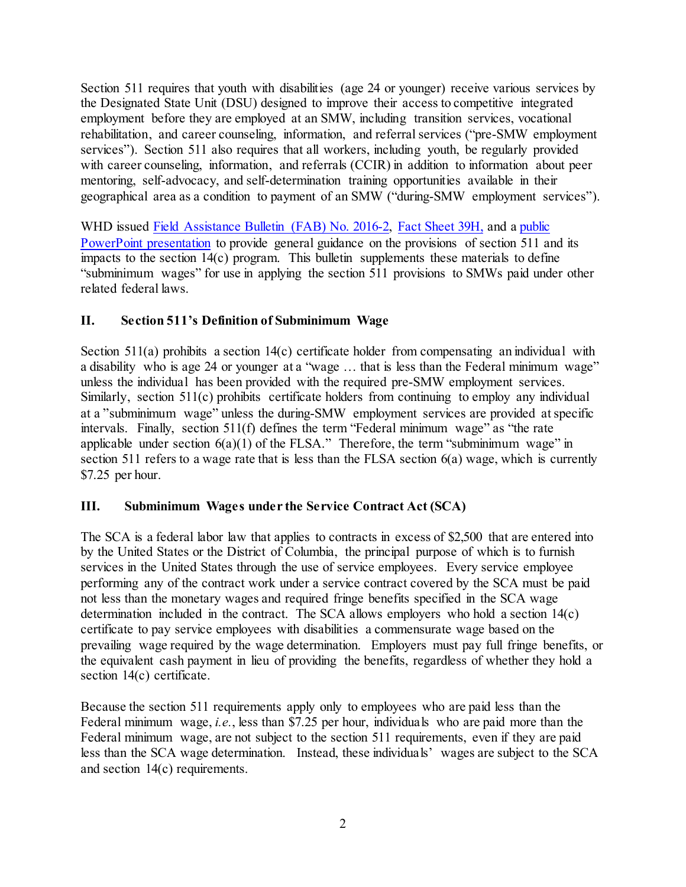Section 511 requires that youth with disabilities (age 24 or younger) receive various services by the Designated State Unit (DSU) designed to improve their access to competitive integrated employment before they are employed at an SMW, including transition services, vocational rehabilitation, and career counseling, information, and referral services ("pre-SMW employment services"). Section 511 also requires that all workers, including youth, be regularly provided with career counseling, information, and referrals (CCIR) in addition to information about peer mentoring, self-advocacy, and self-determination training opportunities available in their geographical area as a condition to payment of an SMW ("during-SMW employment services").

WHD issued [Field Assistance Bulletin \(FAB\) No. 2016-2,](https://www.dol.gov/whd/FieldBulletins/fab2016_2.pdf) [Fact Sheet 39H,](https://www.dol.gov/whd/regs/compliance/whdfs39h.pdf) and a [public](https://www.dol.gov/whd/workerswithdisabilities/employers.htm) PowerPoint [presentation](https://www.dol.gov/whd/workerswithdisabilities/employers.htm) to provide general guidance on the provisions of section 511 and its impacts to the section 14(c) program. This bulletin supplements these materials to define "subminimum wages" for use in applying the section 511 provisions to SMWs paid under other related federal laws.

## **II. Section 511's Definition of Subminimum Wage**

Section 511(a) prohibits a section 14(c) certificate holder from compensating an individual with a disability who is age 24 or younger at a "wage … that is less than the Federal minimum wage" unless the individual has been provided with the required pre-SMW employment services. Similarly, section 511(c) prohibits certificate holders from continuing to employ any individual at a "subminimum wage" unless the during-SMW employment services are provided atspecific intervals. Finally, section 511(f) defines the term "Federal minimum wage" as "the rate applicable under section  $6(a)(1)$  of the FLSA." Therefore, the term "subminimum wage" in section 511 refers to a wage rate that is less than the FLSA section 6(a) wage, which is currently \$7.25 per hour.

## **III. Subminimum Wages under the Service Contract Act (SCA)**

The SCA is a federal labor law that applies to contracts in excess of \$2,500 that are entered into by the United States or the District of Columbia, the principal purpose of which is to furnish services in the United States through the use of service employees. Every service employee performing any of the contract work under a service contract covered by the SCA must be paid not less than the monetary wages and required fringe benefits specified in the SCA wage determination included in the contract. The SCA allows employers who hold a section 14(c) certificate to pay service employees with disabilities a commensurate wage based on the prevailing wage required by the wage determination. Employers must pay full fringe benefits, or the equivalent cash payment in lieu of providing the benefits, regardless of whether they hold a section 14(c) certificate.

Because the section 511 requirements apply only to employees who are paid less than the Federal minimum wage, *i.e.*, less than \$7.25 per hour, individuals who are paid more than the Federal minimum wage, are not subject to the section 511 requirements, even if they are paid less than the SCA wage determination. Instead, these individuals' wages are subject to the SCA and section 14(c) requirements.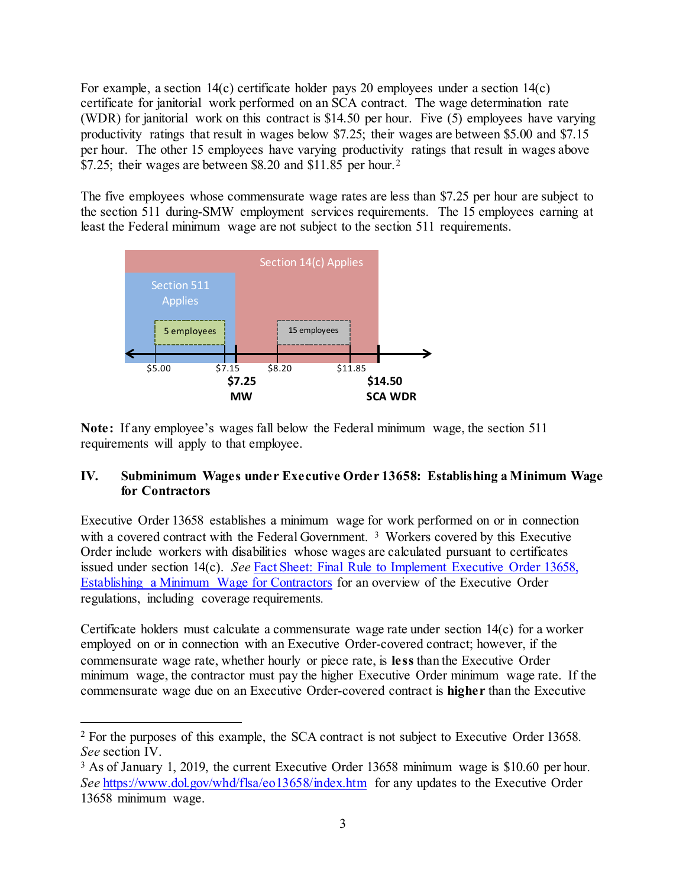For example, a section  $14(c)$  certificate holder pays 20 employees under a section  $14(c)$ certificate for janitorial work performed on an SCA contract. The wage determination rate (WDR) for janitorial work on this contract is \$14.50 per hour. Five (5) employees have varying productivity ratings that result in wages below \$7.25; their wages are between \$5.00 and \$7.15 per hour. The other 15 employees have varying productivity ratings that result in wages above \$7.[2](#page-2-0)5; their wages are between \$8.20 and \$11.85 per hour.<sup>2</sup>

The five employees whose commensurate wage rates are less than \$7.25 per hour are subject to the section 511 during-SMW employment services requirements. The 15 employees earning at least the Federal minimum wage are not subject to the section 511 requirements.



**Note:** If any employee's wages fall below the Federal minimum wage, the section 511 requirements will apply to that employee.

#### **IV. Subminimum Wages under Executive Order 13658: Establishing a Minimum Wage for Contractors**

Executive Order 13658 establishes a minimum wage for work performed on or in connection with a covered contract with the Federal Government.<sup>[3](#page-2-1)</sup> Workers covered by this Executive Order include workers with disabilities whose wages are calculated pursuant to certificates issued under section 14(c). *See* [Fact Sheet: Final Rule to Implement Executive Order 13658,](https://www.dol.gov/whd/flsa/eo13658/fr-factsheet.htm)  [Establishing a Minimum Wage for Contractors](https://www.dol.gov/whd/flsa/eo13658/fr-factsheet.htm) for an overview of the Executive Order regulations, including coverage requirements*.*

Certificate holders must calculate a commensurate wage rate under section 14(c) for a worker employed on or in connection with an Executive Order-covered contract; however, if the commensurate wage rate, whether hourly or piece rate, is **less** than the Executive Order minimum wage, the contractor must pay the higher Executive Order minimum wage rate. If the commensurate wage due on an Executive Order-covered contract is **higher** than the Executive

<span id="page-2-0"></span> <sup>2</sup> For the purposes of this example, the SCA contract is not subject to Executive Order 13658. *See* section IV.

<span id="page-2-1"></span><sup>3</sup> As of January 1, 2019, the current Executive Order 13658 minimum wage is \$10.60 per hour. *See* <https://www.dol.gov/whd/flsa/eo13658/index.htm> for any updates to the Executive Order 13658 minimum wage.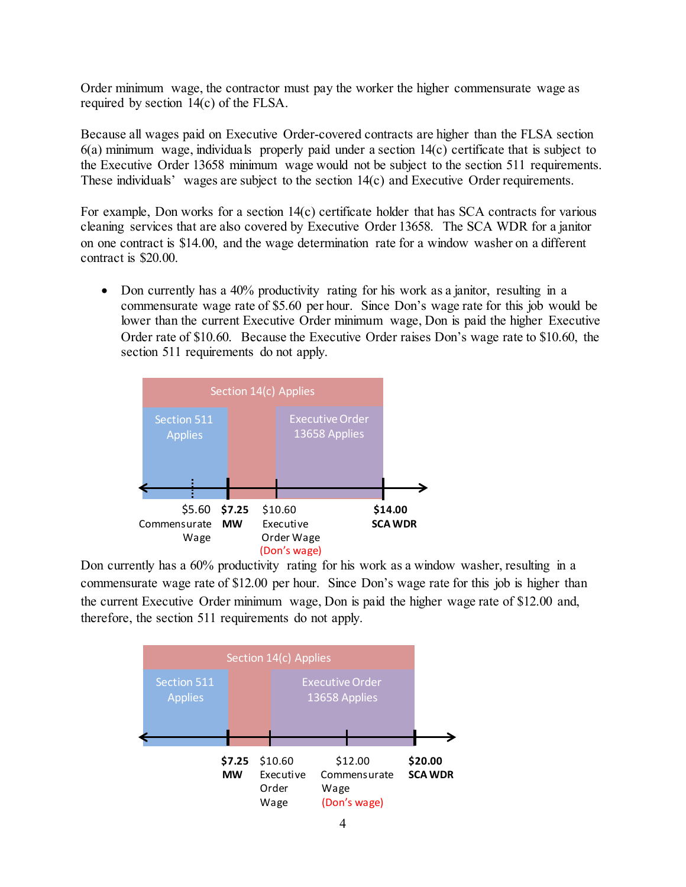Order minimum wage, the contractor must pay the worker the higher commensurate wage as required by section 14(c) of the FLSA.

Because all wages paid on Executive Order-covered contracts are higher than the FLSA section 6(a) minimum wage, individuals properly paid under a section 14(c) certificate that is subject to the Executive Order 13658 minimum wage would not be subject to the section 511 requirements. These individuals' wages are subject to the section 14(c) and Executive Order requirements.

For example, Don works for a section  $14(c)$  certificate holder that has SCA contracts for various cleaning services that are also covered by Executive Order 13658. The SCA WDR for a janitor on one contract is \$14.00, and the wage determination rate for a window washer on a different contract is \$20.00.

• Don currently has a 40% productivity rating for his work as a janitor, resulting in a commensurate wage rate of \$5.60 per hour. Since Don's wage rate for this job would be lower than the current Executive Order minimum wage, Don is paid the higher Executive Order rate of \$10.60. Because the Executive Order raises Don's wage rate to \$10.60, the section 511 requirements do not apply.



Don currently has a 60% productivity rating for his work as a window washer, resulting in a commensurate wage rate of \$12.00 per hour. Since Don's wage rate for this job is higher than the current Executive Order minimum wage, Don is paid the higher wage rate of \$12.00 and, therefore, the section 511 requirements do not apply.